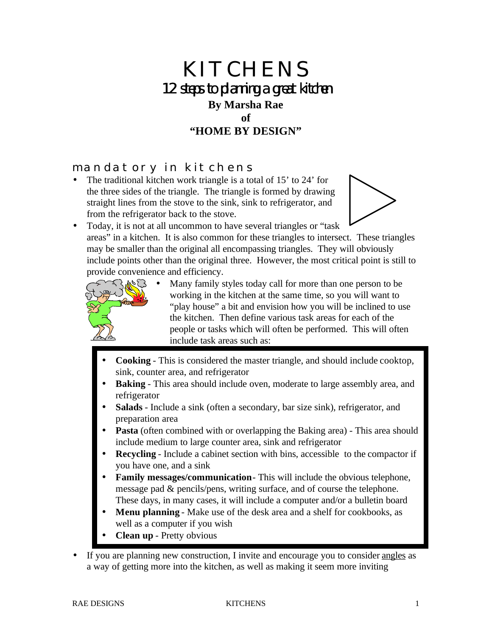# KITCHENS 12 steps to planning a great kitchen **By Marsha Rae of "HOME BY DESIGN"**

#### mandatory in kitchens

The traditional kitchen work triangle is a total of 15' to 24' for the three sides of the triangle. The triangle is formed by drawing straight lines from the stove to the sink, sink to refrigerator, and from the refrigerator back to the stove.



• Today, it is not at all uncommon to have several triangles or "task" areas" in a kitchen. It is also common for these triangles to intersect. These triangles may be smaller than the original all encompassing triangles. They will obviously include points other than the original three. However, the most critical point is still to provide convenience and efficiency.



- Many family styles today call for more than one person to be working in the kitchen at the same time, so you will want to "play house" a bit and envision how you will be inclined to use the kitchen. Then define various task areas for each of the people or tasks which will often be performed. This will often include task areas such as:
- **Cooking** This is considered the master triangle, and should include cooktop, sink, counter area, and refrigerator
- **Baking** This area should include oven, moderate to large assembly area, and refrigerator
- **Salads** Include a sink (often a secondary, bar size sink), refrigerator, and preparation area
- **Pasta** (often combined with or overlapping the Baking area) This area should include medium to large counter area, sink and refrigerator
- **Recycling** Include a cabinet section with bins, accessible to the compactor if you have one, and a sink
- **Family messages/communication** This will include the obvious telephone, message pad & pencils/pens, writing surface, and of course the telephone. These days, in many cases, it will include a computer and/or a bulletin board
- **Menu planning** Make use of the desk area and a shelf for cookbooks, as well as a computer if you wish
- **Clean up** Pretty obvious
- If you are planning new construction, I invite and encourage you to consider angles as a way of getting more into the kitchen, as well as making it seem more inviting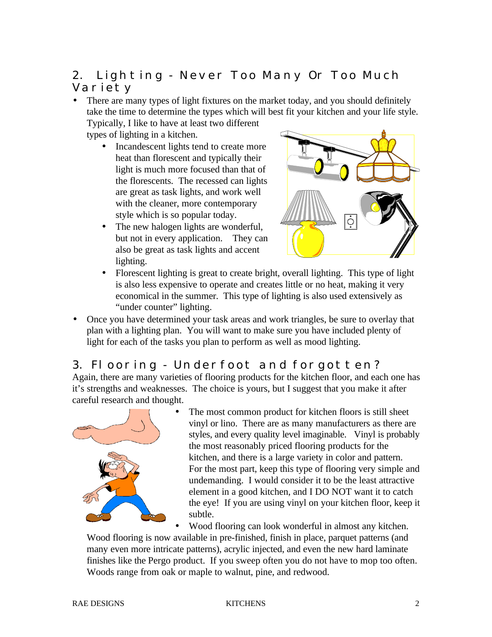### 2. Lighting - Never Too Many Or Too Much Variety

• There are many types of light fixtures on the market today, and you should definitely take the time to determine the types which will best fit your kitchen and your life style.

Typically, I like to have at least two different types of lighting in a kitchen.

- Incandescent lights tend to create more heat than florescent and typically their light is much more focused than that of the florescents. The recessed can lights are great as task lights, and work well with the cleaner, more contemporary style which is so popular today.
- The new halogen lights are wonderful, but not in every application. They can also be great as task lights and accent lighting.



- Florescent lighting is great to create bright, overall lighting. This type of light is also less expensive to operate and creates little or no heat, making it very economical in the summer. This type of lighting is also used extensively as "under counter" lighting.
- Once you have determined your task areas and work triangles, be sure to overlay that plan with a lighting plan. You will want to make sure you have included plenty of light for each of the tasks you plan to perform as well as mood lighting.

#### 3. Flooring - Underfoot and forgotten?

Again, there are many varieties of flooring products for the kitchen floor, and each one has it's strengths and weaknesses. The choice is yours, but I suggest that you make it after careful research and thought.



The most common product for kitchen floors is still sheet vinyl or lino. There are as many manufacturers as there are styles, and every quality level imaginable. Vinyl is probably the most reasonably priced flooring products for the kitchen, and there is a large variety in color and pattern. For the most part, keep this type of flooring very simple and undemanding. I would consider it to be the least attractive element in a good kitchen, and I DO NOT want it to catch the eye! If you are using vinyl on your kitchen floor, keep it subtle.

• Wood flooring can look wonderful in almost any kitchen. Wood flooring is now available in pre-finished, finish in place, parquet patterns (and many even more intricate patterns), acrylic injected, and even the new hard laminate finishes like the Pergo product. If you sweep often you do not have to mop too often. Woods range from oak or maple to walnut, pine, and redwood.